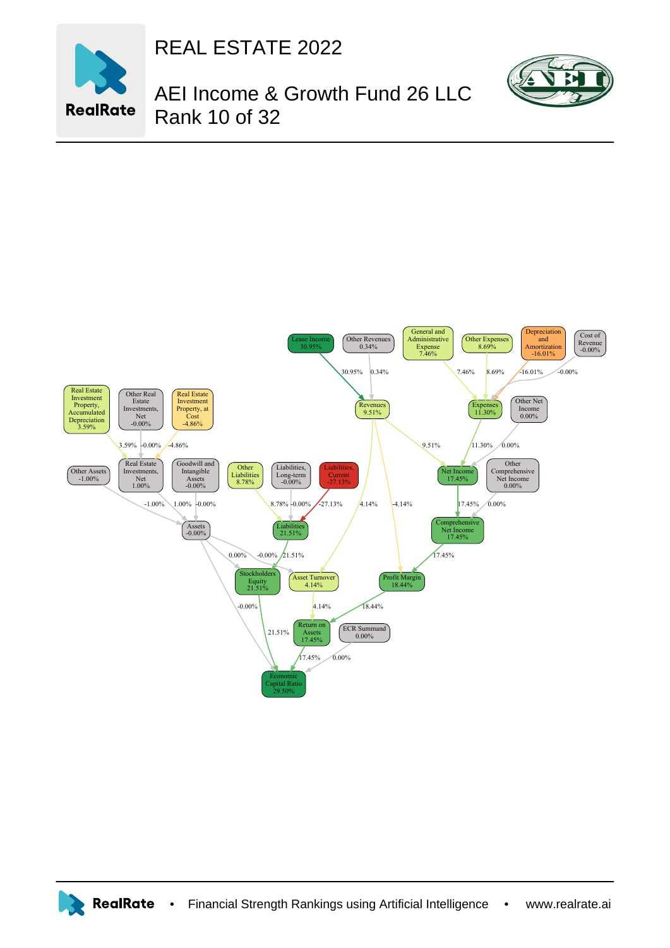

REAL ESTATE 2022

AEI Income & Growth Fund 26 LLC Rank 10 of 32